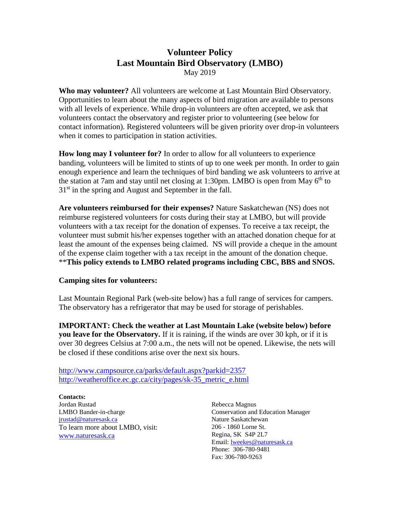## **Volunteer Policy Last Mountain Bird Observatory (LMBO)** May 2019

**Who may volunteer?** All volunteers are welcome at Last Mountain Bird Observatory. Opportunities to learn about the many aspects of bird migration are available to persons with all levels of experience. While drop-in volunteers are often accepted, we ask that volunteers contact the observatory and register prior to volunteering (see below for contact information). Registered volunteers will be given priority over drop-in volunteers when it comes to participation in station activities.

**How long may I volunteer for?** In order to allow for all volunteers to experience banding, volunteers will be limited to stints of up to one week per month. In order to gain enough experience and learn the techniques of bird banding we ask volunteers to arrive at the station at 7am and stay until net closing at 1:30pm. LMBO is open from May  $6<sup>th</sup>$  to  $31<sup>st</sup>$  in the spring and August and September in the fall.

**Are volunteers reimbursed for their expenses?** Nature Saskatchewan (NS) does not reimburse registered volunteers for costs during their stay at LMBO, but will provide volunteers with a tax receipt for the donation of expenses. To receive a tax receipt, the volunteer must submit his/her expenses together with an attached donation cheque for at least the amount of the expenses being claimed. NS will provide a cheque in the amount of the expense claim together with a tax receipt in the amount of the donation cheque. \*\***This policy extends to LMBO related programs including CBC, BBS and SNOS.**

#### **Camping sites for volunteers:**

Last Mountain Regional Park (web-site below) has a full range of services for campers. The observatory has a refrigerator that may be used for storage of perishables.

**IMPORTANT: Check the weather at Last Mountain Lake (website below) before you leave for the Observatory.** If it is raining, if the winds are over 30 kph, or if it is over 30 degrees Celsius at 7:00 a.m., the nets will not be opened. Likewise, the nets will be closed if these conditions arise over the next six hours.

http://www.campsource.ca/parks/default.aspx?parkid=2357 http://weatheroffice.ec.gc.ca/city/pages/sk-35\_metric\_e.html

**Contacts:** Jordan Rustad LMBO Bander-in-charge jrustad@naturesask.ca To learn more about LMBO, visit: www.naturesask.ca

Rebecca Magnus Conservation and Education Manager Nature Saskatchewan 206 - 1860 Lorne St. Regina, SK S4P 2L7 Email: lweekes@naturesask.ca Phone: 306-780-9481 Fax: 306-780-9263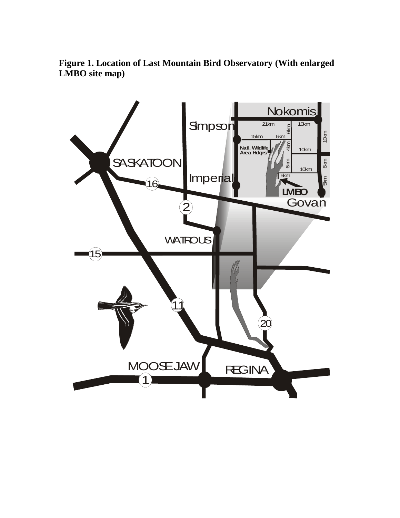**Figure 1. Location of Last Mountain Bird Observatory (With enlarged LMBO site map)**

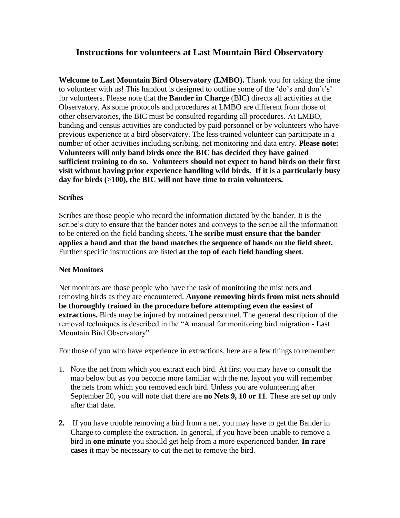## **Instructions for volunteers at Last Mountain Bird Observatory**

**Welcome to Last Mountain Bird Observatory (LMBO).** Thank you for taking the time to volunteer with us! This handout is designed to outline some of the 'do's and don't's' for volunteers. Please note that the **Bander in Charge** (BIC) directs all activities at the Observatory. As some protocols and procedures at LMBO are different from those of other observatories, the BIC must be consulted regarding all procedures. At LMBO, banding and census activities are conducted by paid personnel or by volunteers who have previous experience at a bird observatory. The less trained volunteer can participate in a number of other activities including scribing, net monitoring and data entry. **Please note: Volunteers will only band birds once the BIC has decided they have gained sufficient training to do so. Volunteers should not expect to band birds on their first visit without having prior experience handling wild birds. If it is a particularly busy day for birds (>100), the BIC will not have time to train volunteers.** 

#### **Scribes**

Scribes are those people who record the information dictated by the bander. It is the scribe's duty to ensure that the bander notes and conveys to the scribe all the information to be entered on the field banding sheets**. The scribe must ensure that the bander applies a band and that the band matches the sequence of bands on the field sheet.** Further specific instructions are listed **at the top of each field banding sheet**.

### **Net Monitors**

Net monitors are those people who have the task of monitoring the mist nets and removing birds as they are encountered. **Anyone removing birds from mist nets should be thoroughly trained in the procedure before attempting even the easiest of extractions.** Birds may be injured by untrained personnel. The general description of the removal techniques is described in the "A manual for monitoring bird migration - Last Mountain Bird Observatory".

For those of you who have experience in extractions, here are a few things to remember:

- 1. Note the net from which you extract each bird. At first you may have to consult the map below but as you become more familiar with the net layout you will remember the nets from which you removed each bird. Unless you are volunteering after September 20, you will note that there are **no Nets 9, 10 or 11**. These are set up only after that date.
- **2.** If you have trouble removing a bird from a net, you may have to get the Bander in Charge to complete the extraction. In general, if you have been unable to remove a bird in **one minute** you should get help from a more experienced bander. **In rare cases** it may be necessary to cut the net to remove the bird.